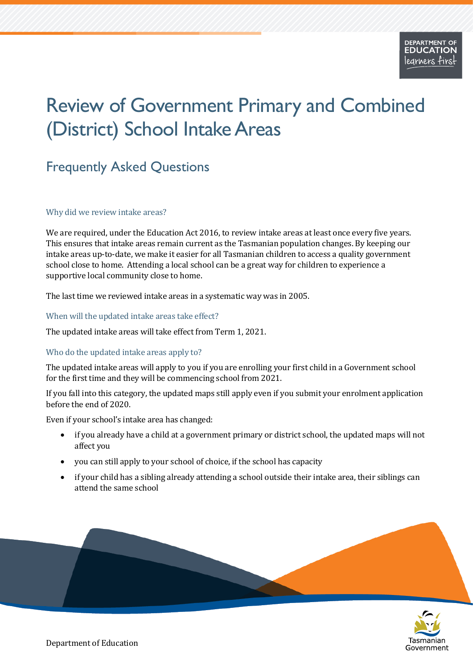# Review of Government Primary and Combined (District) School Intake Areas

# Frequently Asked Questions

#### Why did we review intake areas?

We are required, under the Education Act 2016, to review intake areas at least once every five years. This ensures that intake areas remain current as the Tasmanian population changes. By keeping our intake areas up-to-date, we make it easier for all Tasmanian children to access a quality government school close to home. Attending a local school can be a great way for children to experience a supportive local community close to home.

The last time we reviewed intake areas in a systematic way was in 2005.

#### When will the updated intake areas take effect?

The updated intake areas will take effect from Term 1, 2021.

# Who do the updated intake areas apply to?

The updated intake areas will apply to you if you are enrolling your first child in a Government school for the first time and they will be commencing school from 2021.

If you fall into this category, the updated maps still apply even if you submit your enrolment application before the end of 2020.

Even if your school's intake area has changed:

- if you already have a child at a government primary or district school, the updated maps will not affect you
- you can still apply to your school of choice, if the school has capacity
- if your child has a sibling already attending a school outside their intake area, their siblings can attend the same school



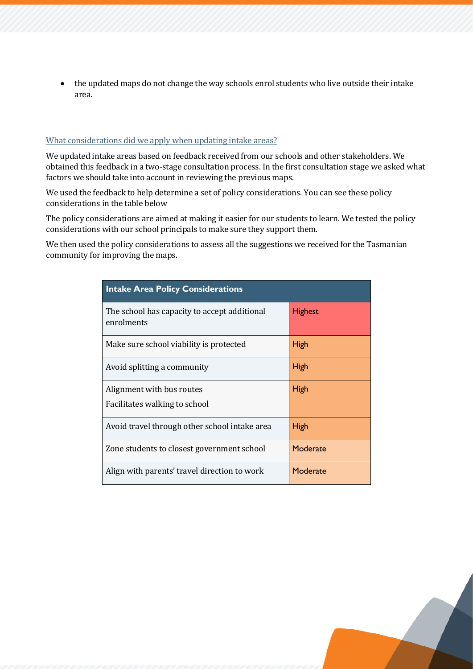• the updated maps do not change the way schools enrol students who live outside their intake area.

#### <span id="page-1-0"></span>What considerations [did we apply when updating intake areas?](#page-7-0)

We updated intake areas based on feedback received from our schools and other stakeholders. We obtained this feedback in a two-stage consultation process. In the first consultation stage we asked what factors we should take into account in reviewing the previous maps.

We used the feedback to help determine a set of policy considerations. You can see these policy considerations in the table below

The policy considerations are aimed at making it easier for our students to learn. We tested the policy considerations with our school principals to make sure they support them.

We then used the policy considerations to assess all the suggestions we received for the Tasmanian community for improving the maps.

| <b>Intake Area Policy Considerations</b>                   |                |
|------------------------------------------------------------|----------------|
| The school has capacity to accept additional<br>enrolments | <b>Highest</b> |
| Make sure school viability is protected                    | <b>High</b>    |
| Avoid splitting a community                                | <b>High</b>    |
| Alignment with bus routes<br>Facilitates walking to school | <b>High</b>    |
| Avoid travel through other school intake area              | <b>High</b>    |
| Zone students to closest government school                 | Moderate       |
| Align with parents' travel direction to work               | Moderate       |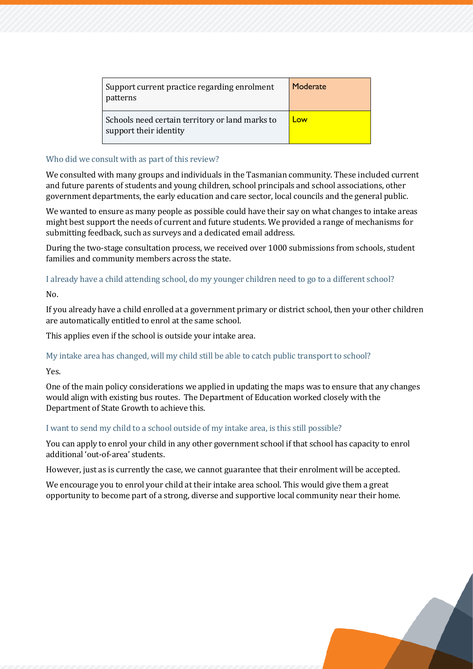| Support current practice regarding enrolment<br>patterns                  | Moderate |
|---------------------------------------------------------------------------|----------|
| Schools need certain territory or land marks to<br>support their identity | Low      |

## Who did we consult with as part of this review?

We consulted with many groups and individuals in the Tasmanian community. These included current and future parents of students and young children, school principals and school associations, other government departments, the early education and care sector, local councils and the general public.

We wanted to ensure as many people as possible could have their say on what changes to intake areas might best support the needs of current and future students. We provided a range of mechanisms for submitting feedback, such as surveys and a dedicated email address.

During the two-stage consultation process, we received over 1000 submissions from schools, student families and community members across the state.

# I already have a child attending school, do my younger children need to go to a different school?

No.

If you already have a child enrolled at a government primary or district school, then your other children are automatically entitled to enrol at the same school.

This applies even if the school is outside your intake area.

# My intake area has changed, will my child still be able to catch public transport to school?

Yes.

One of the main policy considerations we applied in updating the maps was to ensure that any changes would align with existing bus routes. The Department of Education worked closely with the Department of State Growth to achieve this.

# I want to send my child to a school outside of my intake area, is this still possible?

You can apply to enrol your child in any other government school if that school has capacity to enrol additional 'out-of-area' students.

However, just as is currently the case, we cannot guarantee that their enrolment will be accepted.

We encourage you to enrol your child at their intake area school. This would give them a great opportunity to become part of a strong, diverse and supportive local community near their home.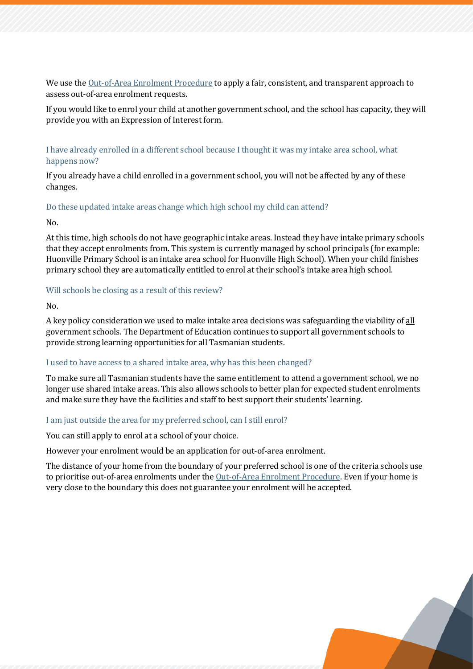We use the [Out-of-Area Enrolment Procedure](https://publicdocumentcentre.education.tas.gov.au/Documents/Model-Out-of-Area-Procedure.pdf) to apply a fair, consistent, and transparent approach to assess out-of-area enrolment requests.

If you would like to enrol your child at another government school, and the school has capacity, they will provide you with an Expression of Interest form.

## I have already enrolled in a different school because I thought it was my intake area school, what happens now?

If you already have a child enrolled in a government school, you will not be affected by any of these changes.

#### Do these updated intake areas change which high school my child can attend?

No.

At this time, high schools do not have geographic intake areas. Instead they have intake primary schools that they accept enrolments from. This system is currently managed by school principals (for example: Huonville Primary School is an intake area school for Huonville High School). When your child finishes primary school they are automatically entitled to enrol at their school's intake area high school.

#### Will schools be closing as a result of this review?

No.

A key policy consideration we used to make intake area decisions was safeguarding the viability of all government schools. The Department of Education continues to support all government schools to provide strong learning opportunities for all Tasmanian students.

#### I used to have access to a shared intake area, why has this been changed?

To make sure all Tasmanian students have the same entitlement to attend a government school, we no longer use shared intake areas. This also allows schools to better plan for expected student enrolments and make sure they have the facilities and staff to best support their students' learning.

#### I am just outside the area for my preferred school, can I still enrol?

You can still apply to enrol at a school of your choice.

However your enrolment would be an application for out-of-area enrolment.

The distance of your home from the boundary of your preferred school is one of the criteria schools use to prioritise out-of-area enrolments under th[e Out-of-Area Enrolment Procedure.](https://tasedu.sharepoint.com/sites/intranet/Document%20Centre/Model-Out-of-Area-Procedure.pdf) Even if your home is very close to the boundary this does not guarantee your enrolment will be accepted.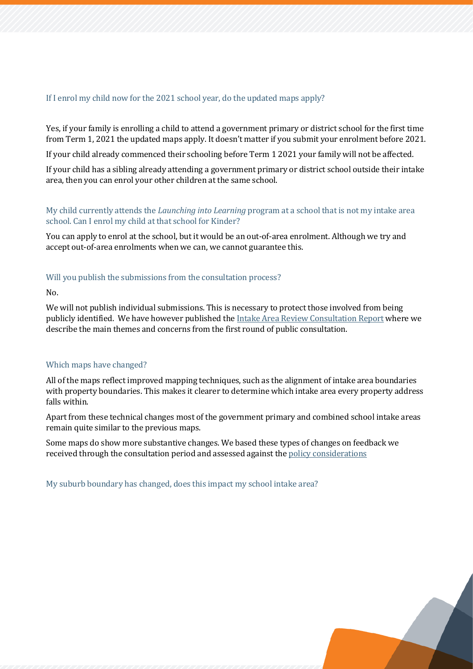## If I enrol my child now for the 2021 school year, do the updated maps apply?

Yes, if your family is enrolling a child to attend a government primary or district school for the first time from Term 1, 2021 the updated maps apply. It doesn't matter if you submit your enrolment before 2021.

If your child already commenced their schooling before Term 1 2021 your family will not be affected.

If your child has a sibling already attending a government primary or district school outside their intake area, then you can enrol your other children at the same school.

# My child currently attends the *Launching into Learning* program at a school that is not my intake area school. Can I enrol my child at that school for Kinder?

You can apply to enrol at the school, but it would be an out-of-area enrolment. Although we try and accept out-of-area enrolments when we can, we cannot guarantee this.

#### Will you publish the submissions from the consultation process?

 $N<sub>0</sub>$ 

We will not publish individual submissions. This is necessary to protect those involved from being publicly identified. We have however published th[e Intake Area Review Consultation Report](https://publicdocumentcentre.education.tas.gov.au/Documents/Intake-Area-Review-Consultation-Round-1-Report.pdf) where we describe the main themes and concerns from the first round of public consultation.

# Which maps have changed?

All of the maps reflect improved mapping techniques, such as the alignment of intake area boundaries with property boundaries. This makes it clearer to determine which intake area every property address falls within.

Apart from these technical changes most of the government primary and combined school intake areas remain quite similar to the previous maps.

Some maps do show more substantive changes. We based these types of changes on feedback we received through the consultation period and assessed against the [policy considerations](#page-1-0)

My suburb boundary has changed, does this impact my school intake area?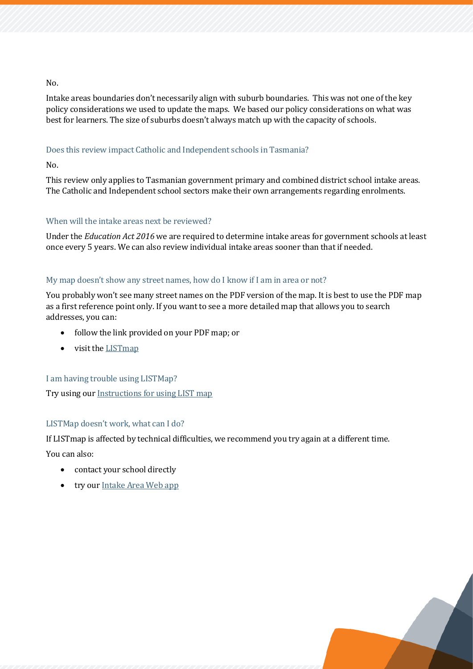#### No.

Intake areas boundaries don't necessarily align with suburb boundaries. This was not one of the key policy considerations we used to update the maps. We based our policy considerations on what was best for learners. The size of suburbs doesn't always match up with the capacity of schools.

# Does this review impact Catholic and Independent schools in Tasmania?

No.

This review only applies to Tasmanian government primary and combined district school intake areas. The Catholic and Independent school sectors make their own arrangements regarding enrolments.

#### When will the intake areas next be reviewed?

Under the *Education Act 2016* we are required to determine intake areas for government schools at least once every 5 years. We can also review individual intake areas sooner than that if needed.

#### My map doesn't show any street names, how do I know if I am in area or not?

You probably won't see many street names on the PDF version of the map. It is best to use the PDF map as a first reference point only. If you want to see a more detailed map that allows you to search addresses, you can:

- follow the link provided on your PDF map; or
- visit th[e LISTmap](https://maps.thelist.tas.gov.au/listmap/app/list/map?bookmarkId=495866)

#### I am having trouble using LISTMap?

Try using our [Instructions for using](https://publicdocumentcentre.education.tas.gov.au/_layouts/15/DocIdRedir.aspx?ID=TASED-1797567314-12003) LIST map

# LISTMap doesn't work, what can I do?

If LISTmap is affected by technical difficulties, we recommend you try again at a different time.

You can also:

- contact your school directly
- try ou[r Intake Area Web app](https://arcg.is/1Hyza5)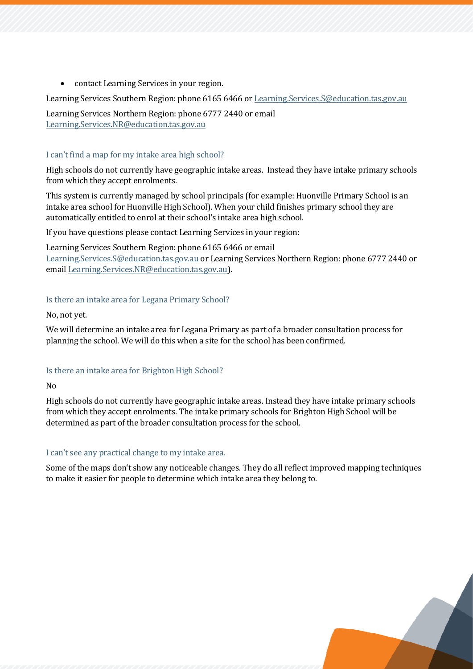• contact Learning Services in your region.

Learning Services Southern Region: phone 6165 6466 o[r Learning.Services.S@education.tas.gov.au](mailto:Learning.Services.S@education.tas.gov.au)

Learning Services Northern Region: phone 6777 2440 or email [Learning.Services.NR@education.tas.gov.au](mailto:Learning.Services.NR@education.tas.gov.au)

# I can't find a map for my intake area high school?

High schools do not currently have geographic intake areas. Instead they have intake primary schools from which they accept enrolments.

This system is currently managed by school principals (for example: Huonville Primary School is an intake area school for Huonville High School). When your child finishes primary school they are automatically entitled to enrol at their school's intake area high school.

If you have questions please contact Learning Services in your region:

Learning Services Southern Region: phone 6165 6466 or email [Learning.Services.S@education.tas.gov.au](mailto:Learning.Services.S@education.tas.gov.au) or Learning Services Northern Region: phone 6777 2440 or email [Learning.Services.NR@education.tas.gov.au\)](mailto:Learning.Services.NR@education.tas.gov.au).

# Is there an intake area for Legana Primary School?

No, not yet.

We will determine an intake area for Legana Primary as part of a broader consultation process for planning the school. We will do this when a site for the school has been confirmed.

# Is there an intake area for Brighton High School?

No

High schools do not currently have geographic intake areas. Instead they have intake primary schools from which they accept enrolments. The intake primary schools for Brighton High School will be determined as part of the broader consultation process for the school.

# I can't see any practical change to my intake area.

Some of the maps don't show any noticeable changes. They do all reflect improved mapping techniques to make it easier for people to determine which intake area they belong to.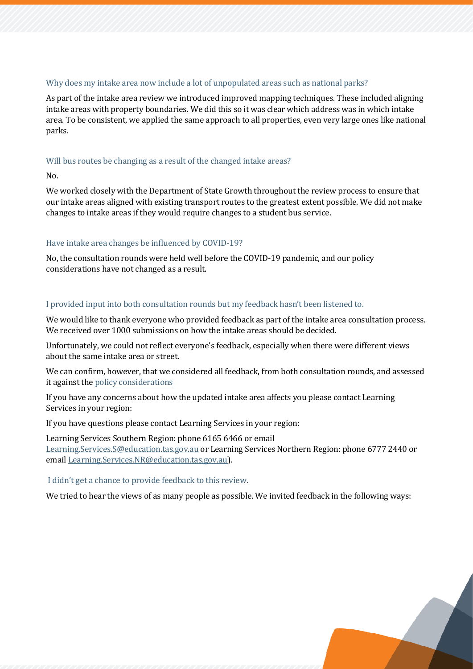#### Why does my intake area now include a lot of unpopulated areas such as national parks?

As part of the intake area review we introduced improved mapping techniques. These included aligning intake areas with property boundaries. We did this so it was clear which address was in which intake area. To be consistent, we applied the same approach to all properties, even very large ones like national parks.

## Will bus routes be changing as a result of the changed intake areas?

No.

We worked closely with the Department of State Growth throughout the review process to ensure that our intake areas aligned with existing transport routes to the greatest extent possible. We did not make changes to intake areas if they would require changes to a student bus service.

# Have intake area changes be influenced by COVID-19?

No, the consultation rounds were held well before the COVID-19 pandemic, and our policy considerations have not changed as a result.

#### <span id="page-7-0"></span>I provided input into both consultation rounds but my feedback hasn't been listened to.

We would like to thank everyone who provided feedback as part of the intake area consultation process. We received over 1000 submissions on how the intake areas should be decided.

Unfortunately, we could not reflect everyone's feedback, especially when there were different views about the same intake area or street.

We can confirm, however, that we considered all feedback, from both consultation rounds, and assessed it against th[e policy considerations](#page-1-0)

If you have any concerns about how the updated intake area affects you please contact Learning Services in your region:

If you have questions please contact Learning Services in your region:

Learning Services Southern Region: phone 6165 6466 or email [Learning.Services.S@education.tas.gov.au](mailto:Learning.Services.S@education.tas.gov.au) or Learning Services Northern Region: phone 6777 2440 or email [Learning.Services.NR@education.tas.gov.au\)](mailto:Learning.Services.NR@education.tas.gov.au).

#### I didn't get a chance to provide feedback to this review.

We tried to hear the views of as many people as possible. We invited feedback in the following ways: